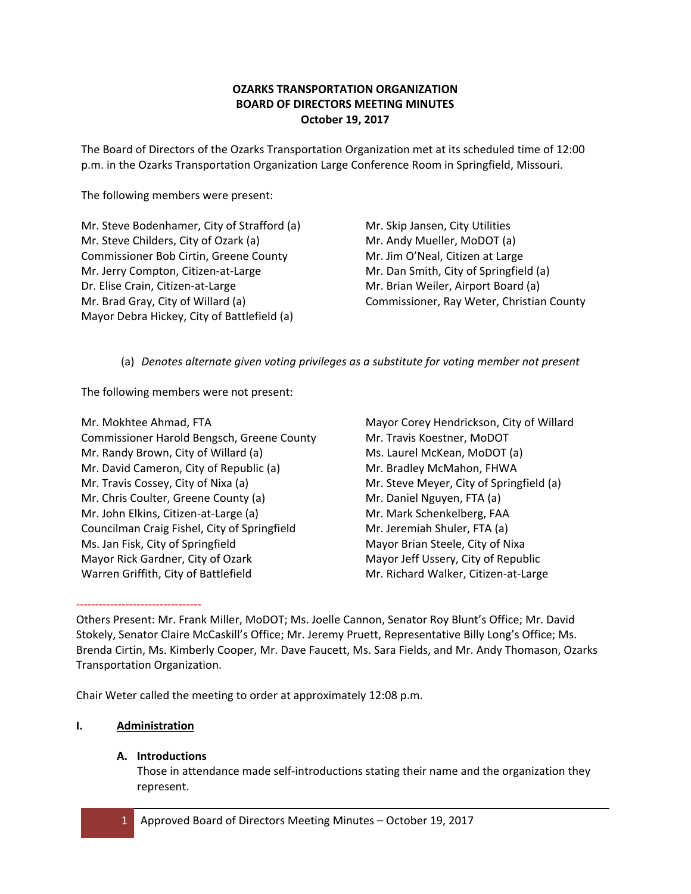# **OZARKS TRANSPORTATION ORGANIZATION BOARD OF DIRECTORS MEETING MINUTES October 19, 2017**

The Board of Directors of the Ozarks Transportation Organization met at its scheduled time of 12:00 p.m. in the Ozarks Transportation Organization Large Conference Room in Springfield, Missouri.

The following members were present:

Mr. Steve Bodenhamer, City of Strafford (a) Mr. Steve Childers, City of Ozark (a) Commissioner Bob Cirtin, Greene County Mr. Jerry Compton, Citizen‐at‐Large Dr. Elise Crain, Citizen‐at‐Large Mr. Brad Gray, City of Willard (a) Mayor Debra Hickey, City of Battlefield (a)

Mr. Skip Jansen, City Utilities Mr. Andy Mueller, MoDOT (a) Mr. Jim O'Neal, Citizen at Large Mr. Dan Smith, City of Springfield (a) Mr. Brian Weiler, Airport Board (a) Commissioner, Ray Weter, Christian County

(a) *Denotes alternate given voting privileges as a substitute for voting member not present*

The following members were not present:

Mr. Mokhtee Ahmad, FTA Commissioner Harold Bengsch, Greene County Mr. Randy Brown, City of Willard (a) Mr. David Cameron, City of Republic (a) Mr. Travis Cossey, City of Nixa (a) Mr. Chris Coulter, Greene County (a) Mr. John Elkins, Citizen‐at‐Large (a) Councilman Craig Fishel, City of Springfield Ms. Jan Fisk, City of Springfield Mayor Rick Gardner, City of Ozark Warren Griffith, City of Battlefield

Mayor Corey Hendrickson, City of Willard Mr. Travis Koestner, MoDOT Ms. Laurel McKean, MoDOT (a) Mr. Bradley McMahon, FHWA Mr. Steve Meyer, City of Springfield (a) Mr. Daniel Nguyen, FTA (a) Mr. Mark Schenkelberg, FAA Mr. Jeremiah Shuler, FTA (a) Mayor Brian Steele, City of Nixa Mayor Jeff Ussery, City of Republic Mr. Richard Walker, Citizen‐at‐Large

‐‐‐‐‐‐‐‐‐‐‐‐‐‐‐‐‐‐‐‐‐‐‐‐‐‐‐‐‐‐‐‐‐ Others Present: Mr. Frank Miller, MoDOT; Ms. Joelle Cannon, Senator Roy Blunt's Office; Mr. David Stokely, Senator Claire McCaskill's Office; Mr. Jeremy Pruett, Representative Billy Long's Office; Ms. Brenda Cirtin, Ms. Kimberly Cooper, Mr. Dave Faucett, Ms. Sara Fields, and Mr. Andy Thomason, Ozarks Transportation Organization.

Chair Weter called the meeting to order at approximately 12:08 p.m.

# **I. Administration**

# **A. Introductions**

Those in attendance made self‐introductions stating their name and the organization they represent.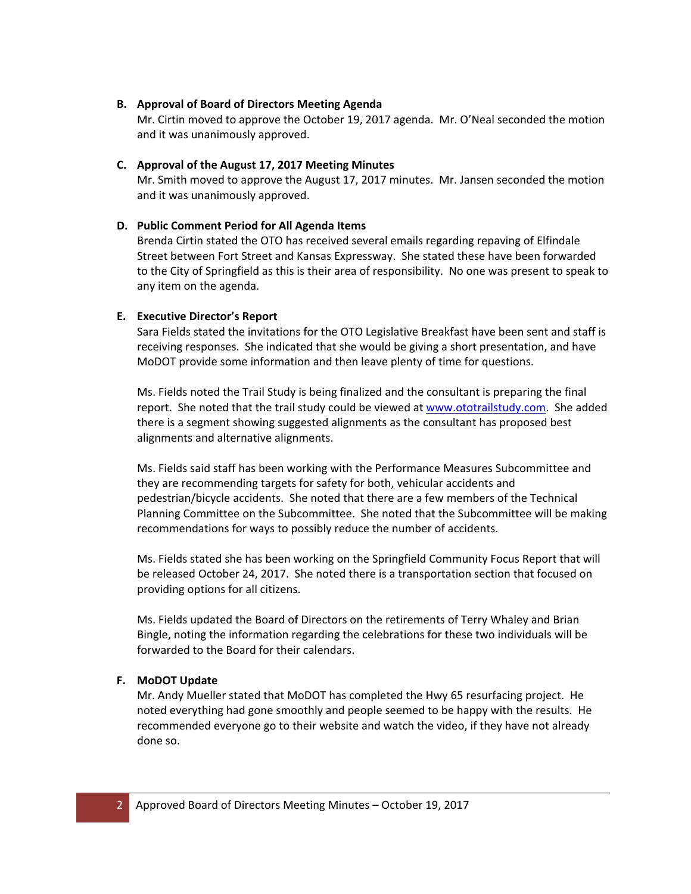### **B. Approval of Board of Directors Meeting Agenda**

Mr. Cirtin moved to approve the October 19, 2017 agenda. Mr. O'Neal seconded the motion and it was unanimously approved.

# **C. Approval of the August 17, 2017 Meeting Minutes**

Mr. Smith moved to approve the August 17, 2017 minutes. Mr. Jansen seconded the motion and it was unanimously approved.

# **D. Public Comment Period for All Agenda Items**

Brenda Cirtin stated the OTO has received several emails regarding repaving of Elfindale Street between Fort Street and Kansas Expressway. She stated these have been forwarded to the City of Springfield as this is their area of responsibility. No one was present to speak to any item on the agenda.

## **E. Executive Director's Report**

Sara Fields stated the invitations for the OTO Legislative Breakfast have been sent and staff is receiving responses. She indicated that she would be giving a short presentation, and have MoDOT provide some information and then leave plenty of time for questions.

Ms. Fields noted the Trail Study is being finalized and the consultant is preparing the final report. She noted that the trail study could be viewed at www.ototrailstudy.com. She added there is a segment showing suggested alignments as the consultant has proposed best alignments and alternative alignments.

Ms. Fields said staff has been working with the Performance Measures Subcommittee and they are recommending targets for safety for both, vehicular accidents and pedestrian/bicycle accidents. She noted that there are a few members of the Technical Planning Committee on the Subcommittee. She noted that the Subcommittee will be making recommendations for ways to possibly reduce the number of accidents.

Ms. Fields stated she has been working on the Springfield Community Focus Report that will be released October 24, 2017. She noted there is a transportation section that focused on providing options for all citizens.

Ms. Fields updated the Board of Directors on the retirements of Terry Whaley and Brian Bingle, noting the information regarding the celebrations for these two individuals will be forwarded to the Board for their calendars.

# **F. MoDOT Update**

Mr. Andy Mueller stated that MoDOT has completed the Hwy 65 resurfacing project. He noted everything had gone smoothly and people seemed to be happy with the results. He recommended everyone go to their website and watch the video, if they have not already done so.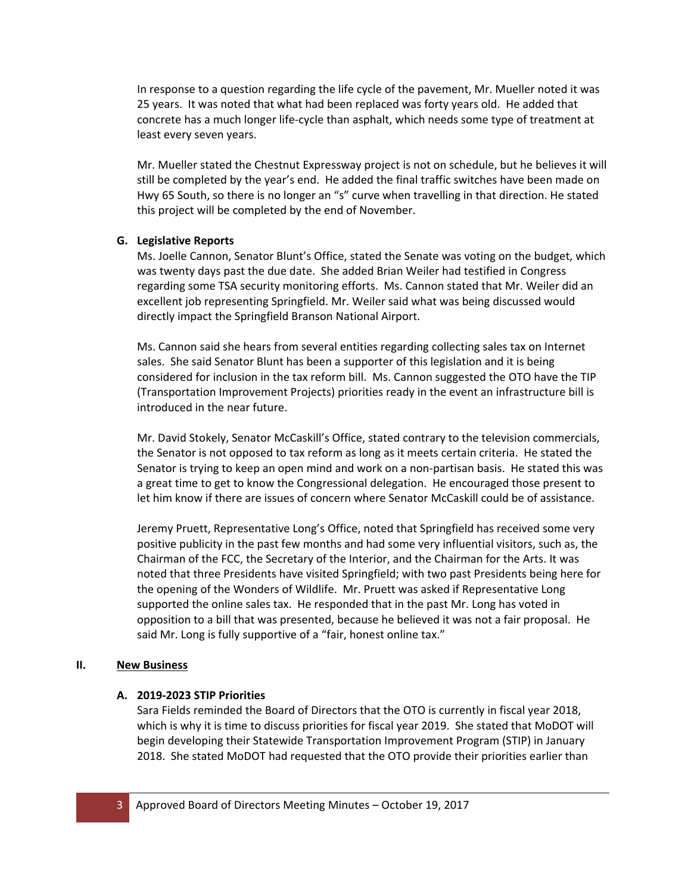In response to a question regarding the life cycle of the pavement, Mr. Mueller noted it was 25 years. It was noted that what had been replaced was forty years old. He added that concrete has a much longer life‐cycle than asphalt, which needs some type of treatment at least every seven years.

Mr. Mueller stated the Chestnut Expressway project is not on schedule, but he believes it will still be completed by the year's end. He added the final traffic switches have been made on Hwy 65 South, so there is no longer an "s" curve when travelling in that direction. He stated this project will be completed by the end of November.

## **G. Legislative Reports**

Ms. Joelle Cannon, Senator Blunt's Office, stated the Senate was voting on the budget, which was twenty days past the due date. She added Brian Weiler had testified in Congress regarding some TSA security monitoring efforts. Ms. Cannon stated that Mr. Weiler did an excellent job representing Springfield. Mr. Weiler said what was being discussed would directly impact the Springfield Branson National Airport.

Ms. Cannon said she hears from several entities regarding collecting sales tax on Internet sales. She said Senator Blunt has been a supporter of this legislation and it is being considered for inclusion in the tax reform bill. Ms. Cannon suggested the OTO have the TIP (Transportation Improvement Projects) priorities ready in the event an infrastructure bill is introduced in the near future.

Mr. David Stokely, Senator McCaskill's Office, stated contrary to the television commercials, the Senator is not opposed to tax reform as long as it meets certain criteria. He stated the Senator is trying to keep an open mind and work on a non‐partisan basis. He stated this was a great time to get to know the Congressional delegation. He encouraged those present to let him know if there are issues of concern where Senator McCaskill could be of assistance.

Jeremy Pruett, Representative Long's Office, noted that Springfield has received some very positive publicity in the past few months and had some very influential visitors, such as, the Chairman of the FCC, the Secretary of the Interior, and the Chairman for the Arts. It was noted that three Presidents have visited Springfield; with two past Presidents being here for the opening of the Wonders of Wildlife. Mr. Pruett was asked if Representative Long supported the online sales tax. He responded that in the past Mr. Long has voted in opposition to a bill that was presented, because he believed it was not a fair proposal. He said Mr. Long is fully supportive of a "fair, honest online tax."

### **II. New Business**

# **A. 2019‐2023 STIP Priorities**

Sara Fields reminded the Board of Directors that the OTO is currently in fiscal year 2018, which is why it is time to discuss priorities for fiscal year 2019. She stated that MoDOT will begin developing their Statewide Transportation Improvement Program (STIP) in January 2018. She stated MoDOT had requested that the OTO provide their priorities earlier than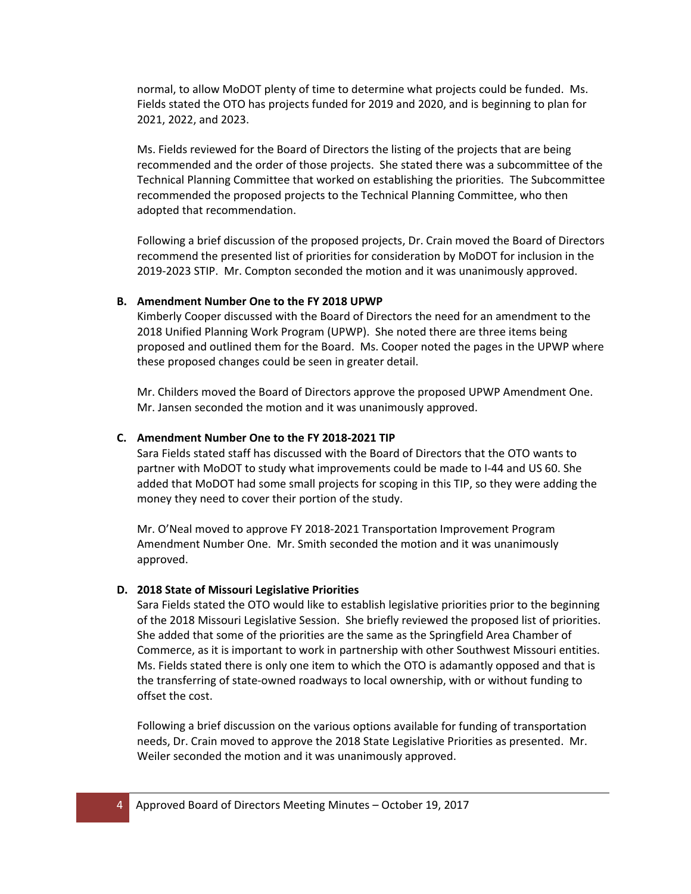normal, to allow MoDOT plenty of time to determine what projects could be funded. Ms. Fields stated the OTO has projects funded for 2019 and 2020, and is beginning to plan for 2021, 2022, and 2023.

Ms. Fields reviewed for the Board of Directors the listing of the projects that are being recommended and the order of those projects. She stated there was a subcommittee of the Technical Planning Committee that worked on establishing the priorities. The Subcommittee recommended the proposed projects to the Technical Planning Committee, who then adopted that recommendation.

Following a brief discussion of the proposed projects, Dr. Crain moved the Board of Directors recommend the presented list of priorities for consideration by MoDOT for inclusion in the 2019‐2023 STIP. Mr. Compton seconded the motion and it was unanimously approved.

#### **B. Amendment Number One to the FY 2018 UPWP**

Kimberly Cooper discussed with the Board of Directors the need for an amendment to the 2018 Unified Planning Work Program (UPWP). She noted there are three items being proposed and outlined them for the Board. Ms. Cooper noted the pages in the UPWP where these proposed changes could be seen in greater detail.

Mr. Childers moved the Board of Directors approve the proposed UPWP Amendment One. Mr. Jansen seconded the motion and it was unanimously approved.

#### **C. Amendment Number One to the FY 2018‐2021 TIP**

Sara Fields stated staff has discussed with the Board of Directors that the OTO wants to partner with MoDOT to study what improvements could be made to I‐44 and US 60. She added that MoDOT had some small projects for scoping in this TIP, so they were adding the money they need to cover their portion of the study.

Mr. O'Neal moved to approve FY 2018‐2021 Transportation Improvement Program Amendment Number One. Mr. Smith seconded the motion and it was unanimously approved.

#### **D. 2018 State of Missouri Legislative Priorities**

Sara Fields stated the OTO would like to establish legislative priorities prior to the beginning of the 2018 Missouri Legislative Session. She briefly reviewed the proposed list of priorities. She added that some of the priorities are the same as the Springfield Area Chamber of Commerce, as it is important to work in partnership with other Southwest Missouri entities. Ms. Fields stated there is only one item to which the OTO is adamantly opposed and that is the transferring of state‐owned roadways to local ownership, with or without funding to offset the cost.

Following a brief discussion on the various options available for funding of transportation needs, Dr. Crain moved to approve the 2018 State Legislative Priorities as presented. Mr. Weiler seconded the motion and it was unanimously approved.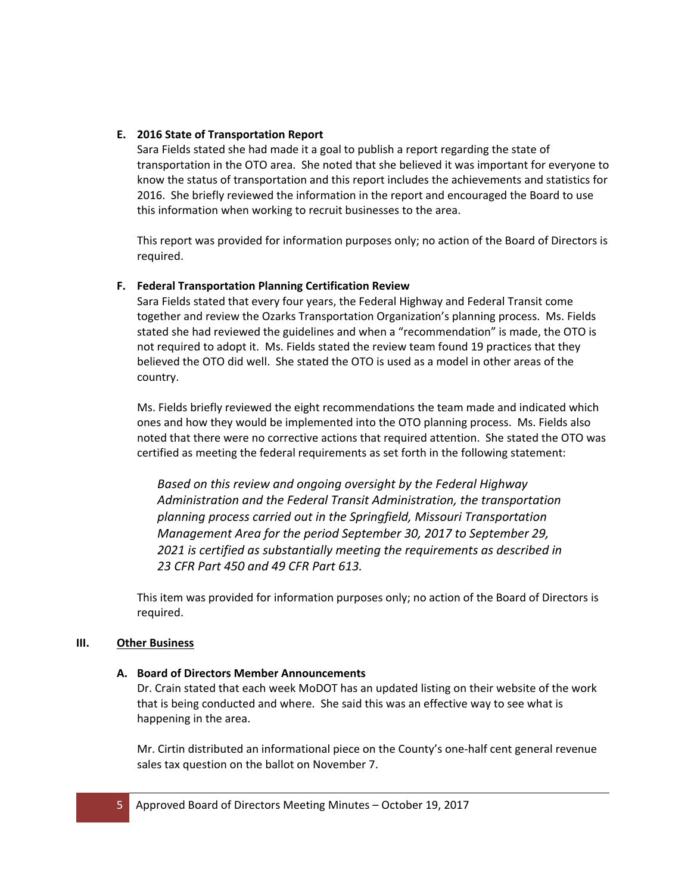## **E. 2016 State of Transportation Report**

Sara Fields stated she had made it a goal to publish a report regarding the state of transportation in the OTO area. She noted that she believed it was important for everyone to know the status of transportation and this report includes the achievements and statistics for 2016. She briefly reviewed the information in the report and encouraged the Board to use this information when working to recruit businesses to the area.

This report was provided for information purposes only; no action of the Board of Directors is required.

## **F. Federal Transportation Planning Certification Review**

Sara Fields stated that every four years, the Federal Highway and Federal Transit come together and review the Ozarks Transportation Organization's planning process. Ms. Fields stated she had reviewed the guidelines and when a "recommendation" is made, the OTO is not required to adopt it. Ms. Fields stated the review team found 19 practices that they believed the OTO did well. She stated the OTO is used as a model in other areas of the country.

Ms. Fields briefly reviewed the eight recommendations the team made and indicated which ones and how they would be implemented into the OTO planning process. Ms. Fields also noted that there were no corrective actions that required attention. She stated the OTO was certified as meeting the federal requirements as set forth in the following statement:

*Based on this review and ongoing oversight by the Federal Highway Administration and the Federal Transit Administration, the transportation planning process carried out in the Springfield, Missouri Transportation Management Area for the period September 30, 2017 to September 29, 2021 is certified as substantially meeting the requirements as described in 23 CFR Part 450 and 49 CFR Part 613.*

This item was provided for information purposes only; no action of the Board of Directors is required.

### **III. Other Business**

### **A. Board of Directors Member Announcements**

Dr. Crain stated that each week MoDOT has an updated listing on their website of the work that is being conducted and where. She said this was an effective way to see what is happening in the area.

Mr. Cirtin distributed an informational piece on the County's one‐half cent general revenue sales tax question on the ballot on November 7.